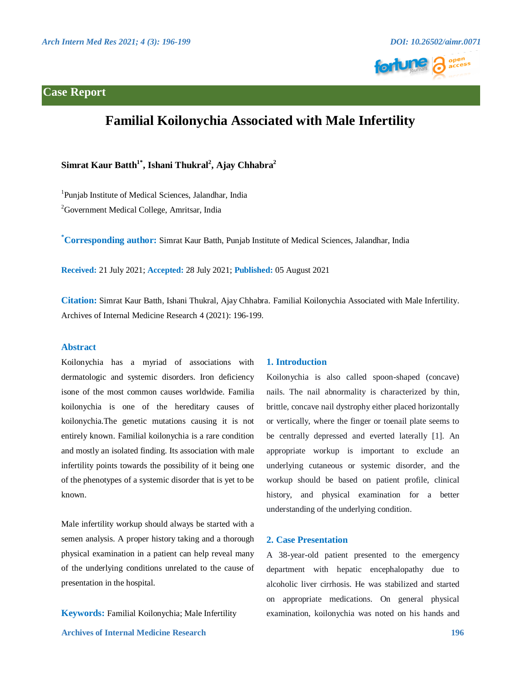



# **Familial Koilonychia Associated with Male Infertility**

**Simrat Kaur Batth1\*, Ishani Thukral2 , Ajay Chhabra2**

<sup>1</sup>Punjab Institute of Medical Sciences, Jalandhar, India <sup>2</sup> Government Medical College, Amritsar, India

**\* Corresponding author:** Simrat Kaur Batth, Punjab Institute of Medical Sciences, Jalandhar, India

**Received:** 21 July 2021; **Accepted:** 28 July 2021; **Published:** 05 August 2021

**Citation:** Simrat Kaur Batth, Ishani Thukral, Ajay Chhabra. Familial Koilonychia Associated with Male Infertility. Archives of Internal Medicine Research 4 (2021): 196-199.

# **Abstract**

Koilonychia has a myriad of associations with dermatologic and systemic disorders. Iron deficiency isone of the most common causes worldwide. Familia koilonychia is one of the hereditary causes of koilonychia.The genetic mutations causing it is not entirely known. Familial koilonychia is a rare condition and mostly an isolated finding. Its association with male infertility points towards the possibility of it being one of the phenotypes of a systemic disorder that is yet to be known.

Male infertility workup should always be started with a semen analysis. A proper history taking and a thorough physical examination in a patient can help reveal many of the underlying conditions unrelated to the cause of presentation in the hospital.

 **Archives of Internal Medicine Research 196 Keywords:** Familial Koilonychia; Male Infertility

#### **1. Introduction**

Koilonychia is also called spoon-shaped (concave) nails. The nail abnormality is characterized by thin, brittle, concave nail dystrophy either placed horizontally or vertically, where the finger or toenail plate seems to be centrally depressed and everted laterally [1]. An appropriate workup is important to exclude an underlying cutaneous or systemic disorder, and the workup should be based on patient profile, clinical history, and physical examination for a better understanding of the underlying condition.

# **2. Case Presentation**

A 38-year-old patient presented to the emergency department with hepatic encephalopathy due to alcoholic liver cirrhosis. He was stabilized and started on appropriate medications. On general physical examination, koilonychia was noted on his hands and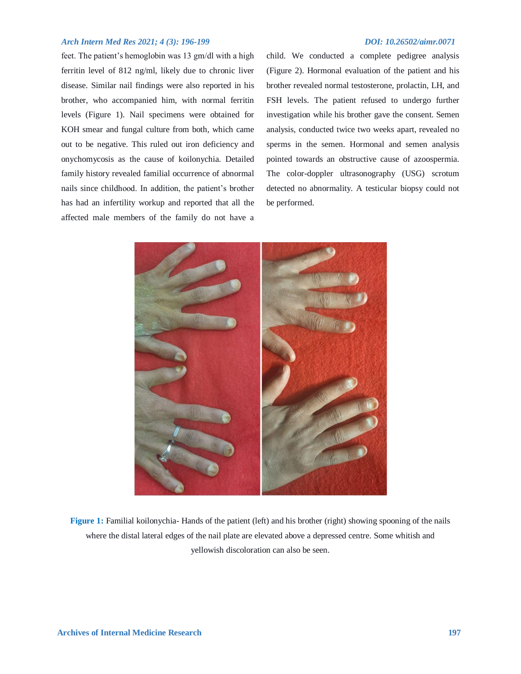# *Arch Intern Med Res 2021; 4 (3): 196-199 DOI: 10.26502/aimr.0071*

feet. The patient's hemoglobin was 13 gm/dl with a high ferritin level of 812 ng/ml, likely due to chronic liver disease. Similar nail findings were also reported in his brother, who accompanied him, with normal ferritin levels (Figure 1). Nail specimens were obtained for KOH smear and fungal culture from both, which came out to be negative. This ruled out iron deficiency and onychomycosis as the cause of koilonychia. Detailed family history revealed familial occurrence of abnormal nails since childhood. In addition, the patient's brother has had an infertility workup and reported that all the affected male members of the family do not have a

child. We conducted a complete pedigree analysis (Figure 2). Hormonal evaluation of the patient and his brother revealed normal testosterone, prolactin, LH, and FSH levels. The patient refused to undergo further investigation while his brother gave the consent. Semen analysis, conducted twice two weeks apart, revealed no sperms in the semen. Hormonal and semen analysis pointed towards an obstructive cause of azoospermia. The color-doppler ultrasonography (USG) scrotum detected no abnormality. A testicular biopsy could not be performed.



**Figure 1:** Familial koilonychia- Hands of the patient (left) and his brother (right) showing spooning of the nails where the distal lateral edges of the nail plate are elevated above a depressed centre. Some whitish and yellowish discoloration can also be seen.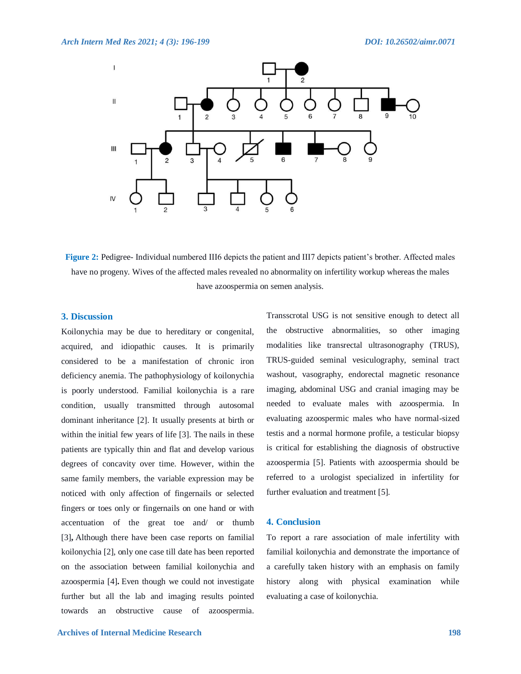

**Figure 2:** Pedigree- Individual numbered III6 depicts the patient and III7 depicts patient's brother. Affected males have no progeny. Wives of the affected males revealed no abnormality on infertility workup whereas the males have azoospermia on semen analysis.

#### **3. Discussion**

Koilonychia may be due to hereditary or congenital, acquired, and idiopathic causes. It is primarily considered to be a manifestation of chronic iron deficiency anemia. The pathophysiology of koilonychia is poorly understood. Familial koilonychia is a rare condition, usually transmitted through autosomal dominant inheritance [2]. It usually presents at birth or within the initial few years of life [3]. The nails in these patients are typically thin and flat and develop various degrees of concavity over time. However, within the same family members, the variable expression may be noticed with only affection of fingernails or selected fingers or toes only or fingernails on one hand or with accentuation of the great toe and/ or thumb [3]**,** Although there have been case reports on familial koilonychia [2], only one case till date has been reported on the association between familial koilonychia and azoospermia [4]**.** Even though we could not investigate further but all the lab and imaging results pointed towards an obstructive cause of azoospermia.

Transscrotal USG is not sensitive enough to detect all the obstructive abnormalities, so other imaging modalities like transrectal ultrasonography (TRUS), TRUS-guided seminal vesiculography, seminal tract washout, vasography, endorectal magnetic resonance imaging, abdominal USG and cranial imaging may be needed to evaluate males with azoospermia. In evaluating azoospermic males who have normal-sized testis and a normal hormone profile, a testicular biopsy is critical for establishing the diagnosis of obstructive azoospermia [5]. Patients with azoospermia should be referred to a urologist specialized in infertility for further evaluation and treatment [5].

## **4. Conclusion**

To report a rare association of male infertility with familial koilonychia and demonstrate the importance of a carefully taken history with an emphasis on family history along with physical examination while evaluating a case of koilonychia.